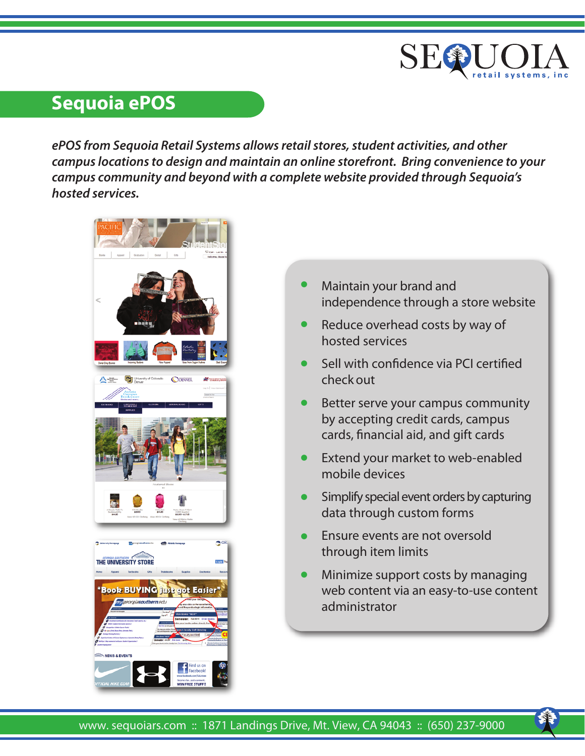

# **Sequoia ePOS**

*ePOS from Sequoia Retail Systems allows retail stores, student activities, and other campus locations to design and maintain an online storefront. Bring convenience to your campus community and beyond with a complete website provided through Sequoia's hosted services.*



- Maintain your brand and independence through a store website •
- Reduce overhead costs by way of hosted services •
- Sell with confidence via PCI certified check out •
- Better serve your campus community by accepting credit cards, campus cards, financial aid, and gift cards •
- Extend your market to web-enabled mobile devices •
- Simplify special event orders by capturing data through custom forms •
- Ensure events are not oversold through item limits •
- Minimize support costs by managing web content via an easy-to-use content administrator •